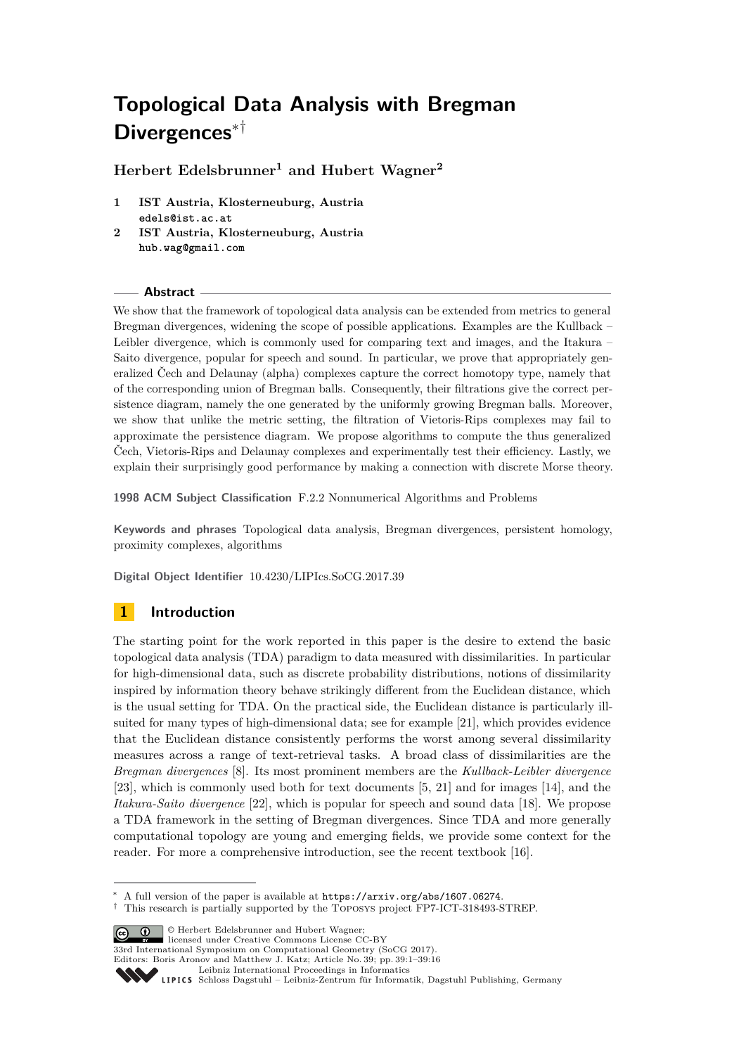# **Topological Data Analysis with Bregman Divergences**∗†

**Herbert Edelsbrunner<sup>1</sup> and Hubert Wagner<sup>2</sup>**

- **1 IST Austria, Klosterneuburg, Austria edels@ist.ac.at**
- **2 IST Austria, Klosterneuburg, Austria hub.wag@gmail.com**

## **Abstract**

We show that the framework of topological data analysis can be extended from metrics to general Bregman divergences, widening the scope of possible applications. Examples are the Kullback – Leibler divergence, which is commonly used for comparing text and images, and the Itakura – Saito divergence, popular for speech and sound. In particular, we prove that appropriately generalized Čech and Delaunay (alpha) complexes capture the correct homotopy type, namely that of the corresponding union of Bregman balls. Consequently, their filtrations give the correct persistence diagram, namely the one generated by the uniformly growing Bregman balls. Moreover, we show that unlike the metric setting, the filtration of Vietoris-Rips complexes may fail to approximate the persistence diagram. We propose algorithms to compute the thus generalized Čech, Vietoris-Rips and Delaunay complexes and experimentally test their efficiency. Lastly, we explain their surprisingly good performance by making a connection with discrete Morse theory.

**1998 ACM Subject Classification** F.2.2 Nonnumerical Algorithms and Problems

**Keywords and phrases** Topological data analysis, Bregman divergences, persistent homology, proximity complexes, algorithms

**Digital Object Identifier** [10.4230/LIPIcs.SoCG.2017.39](http://dx.doi.org/10.4230/LIPIcs.SoCG.2017.39)

## **1 Introduction**

The starting point for the work reported in this paper is the desire to extend the basic topological data analysis (TDA) paradigm to data measured with dissimilarities. In particular for high-dimensional data, such as discrete probability distributions, notions of dissimilarity inspired by information theory behave strikingly different from the Euclidean distance, which is the usual setting for TDA. On the practical side, the Euclidean distance is particularly illsuited for many types of high-dimensional data; see for example [\[21\]](#page-15-0), which provides evidence that the Euclidean distance consistently performs the worst among several dissimilarity measures across a range of text-retrieval tasks. A broad class of dissimilarities are the *Bregman divergences* [\[8\]](#page-14-0). Its most prominent members are the *Kullback-Leibler divergence* [\[23\]](#page-15-1), which is commonly used both for text documents [\[5,](#page-14-1) [21\]](#page-15-0) and for images [\[14\]](#page-14-2), and the *Itakura-Saito divergence* [\[22\]](#page-15-2), which is popular for speech and sound data [\[18\]](#page-15-3). We propose a TDA framework in the setting of Bregman divergences. Since TDA and more generally computational topology are young and emerging fields, we provide some context for the reader. For more a comprehensive introduction, see the recent textbook [\[16\]](#page-15-4).

© Herbert Edelsbrunner and Hubert Wagner; licensed under Creative Commons License CC-BY

33rd International Symposium on Computational Geometry (SoCG 2017). Editors: Boris Aronov and Matthew J. Katz; Article No. 39; pp. 39:1–39[:16](#page-15-5)

A full version of the paper is available at  $https://arxiv.org/abs/1607.06274$ .

<sup>†</sup> This research is partially supported by the Toposys project FP7-ICT-318493-STREP.

[Leibniz International Proceedings in Informatics](http://www.dagstuhl.de/lipics/)

Leibniz international ruse einigs in missimosischen Publishing, Germany<br>LIPICS [Schloss Dagstuhl – Leibniz-Zentrum für Informatik, Dagstuhl Publishing, Germany](http://www.dagstuhl.de)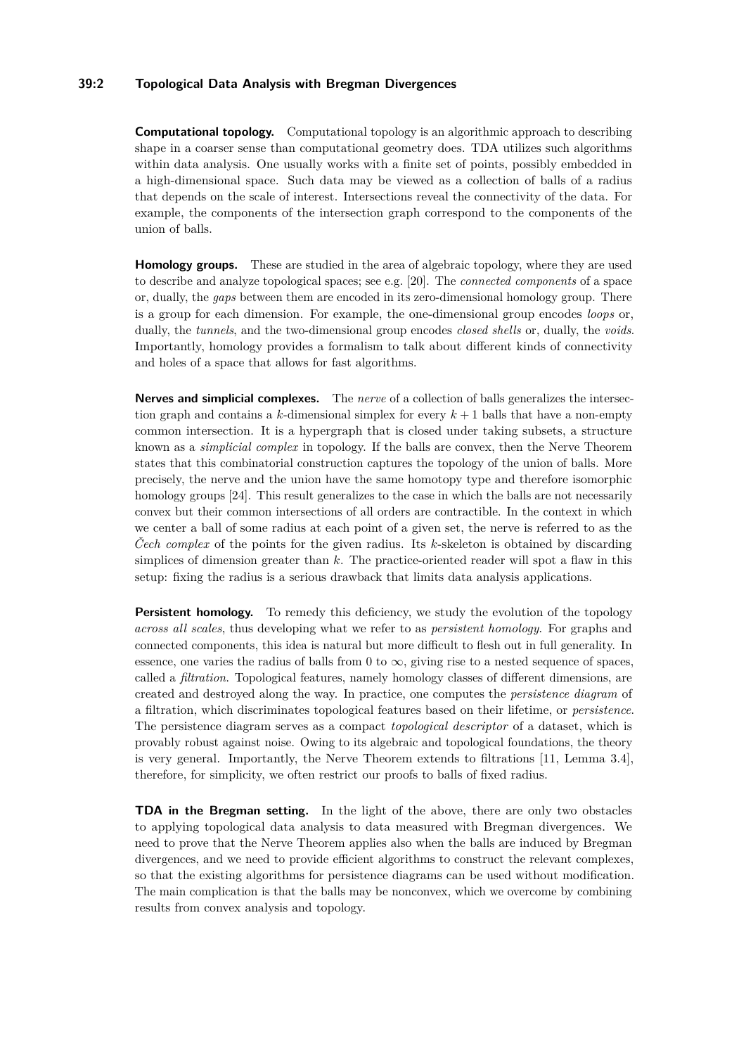## **39:2 Topological Data Analysis with Bregman Divergences**

**Computational topology.** Computational topology is an algorithmic approach to describing shape in a coarser sense than computational geometry does. TDA utilizes such algorithms within data analysis. One usually works with a finite set of points, possibly embedded in a high-dimensional space. Such data may be viewed as a collection of balls of a radius that depends on the scale of interest. Intersections reveal the connectivity of the data. For example, the components of the intersection graph correspond to the components of the union of balls.

**Homology groups.** These are studied in the area of algebraic topology, where they are used to describe and analyze topological spaces; see e.g. [\[20\]](#page-15-6). The *connected components* of a space or, dually, the *gaps* between them are encoded in its zero-dimensional homology group. There is a group for each dimension. For example, the one-dimensional group encodes *loops* or, dually, the *tunnels*, and the two-dimensional group encodes *closed shells* or, dually, the *voids*. Importantly, homology provides a formalism to talk about different kinds of connectivity and holes of a space that allows for fast algorithms.

**Nerves and simplicial complexes.** The *nerve* of a collection of balls generalizes the intersection graph and contains a  $k$ -dimensional simplex for every  $k+1$  balls that have a non-empty common intersection. It is a hypergraph that is closed under taking subsets, a structure known as a *simplicial complex* in topology. If the balls are convex, then the Nerve Theorem states that this combinatorial construction captures the topology of the union of balls. More precisely, the nerve and the union have the same homotopy type and therefore isomorphic homology groups [\[24\]](#page-15-7). This result generalizes to the case in which the balls are not necessarily convex but their common intersections of all orders are contractible. In the context in which we center a ball of some radius at each point of a given set, the nerve is referred to as the *Čech complex* of the points for the given radius. Its *k*-skeleton is obtained by discarding simplices of dimension greater than *k*. The practice-oriented reader will spot a flaw in this setup: fixing the radius is a serious drawback that limits data analysis applications.

**Persistent homology.** To remedy this deficiency, we study the evolution of the topology *across all scales*, thus developing what we refer to as *persistent homology*. For graphs and connected components, this idea is natural but more difficult to flesh out in full generality. In essence, one varies the radius of balls from 0 to  $\infty$ , giving rise to a nested sequence of spaces, called a *filtration*. Topological features, namely homology classes of different dimensions, are created and destroyed along the way. In practice, one computes the *persistence diagram* of a filtration, which discriminates topological features based on their lifetime, or *persistence*. The persistence diagram serves as a compact *topological descriptor* of a dataset, which is provably robust against noise. Owing to its algebraic and topological foundations, the theory is very general. Importantly, the Nerve Theorem extends to filtrations [\[11,](#page-14-3) Lemma 3.4], therefore, for simplicity, we often restrict our proofs to balls of fixed radius.

**TDA in the Bregman setting.** In the light of the above, there are only two obstacles to applying topological data analysis to data measured with Bregman divergences. We need to prove that the Nerve Theorem applies also when the balls are induced by Bregman divergences, and we need to provide efficient algorithms to construct the relevant complexes, so that the existing algorithms for persistence diagrams can be used without modification. The main complication is that the balls may be nonconvex, which we overcome by combining results from convex analysis and topology.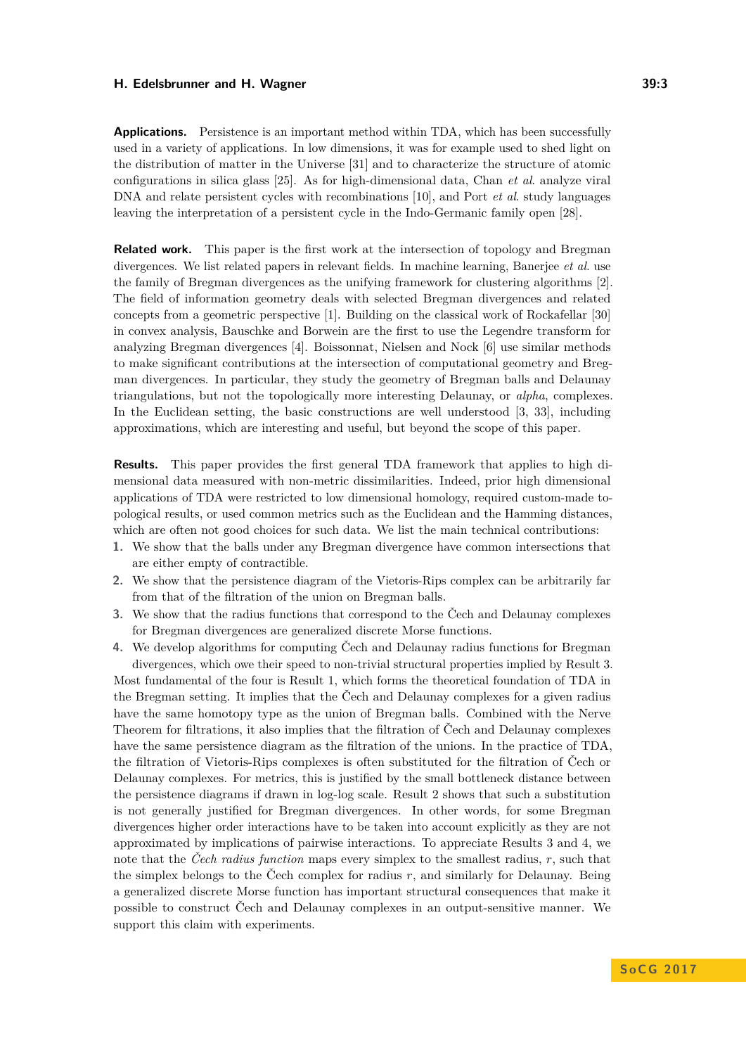**Applications.** Persistence is an important method within TDA, which has been successfully used in a variety of applications. In low dimensions, it was for example used to shed light on the distribution of matter in the Universe [\[31\]](#page-15-8) and to characterize the structure of atomic configurations in silica glass [\[25\]](#page-15-9). As for high-dimensional data, Chan *et al*. analyze viral DNA and relate persistent cycles with recombinations [\[10\]](#page-14-4), and Port *et al*. study languages leaving the interpretation of a persistent cycle in the Indo-Germanic family open [\[28\]](#page-15-10).

**Related work.** This paper is the first work at the intersection of topology and Bregman divergences. We list related papers in relevant fields. In machine learning, Banerjee *et al*. use the family of Bregman divergences as the unifying framework for clustering algorithms [\[2\]](#page-14-5). The field of information geometry deals with selected Bregman divergences and related concepts from a geometric perspective [\[1\]](#page-14-6). Building on the classical work of Rockafellar [\[30\]](#page-15-11) in convex analysis, Bauschke and Borwein are the first to use the Legendre transform for analyzing Bregman divergences [\[4\]](#page-14-7). Boissonnat, Nielsen and Nock [\[6\]](#page-14-8) use similar methods to make significant contributions at the intersection of computational geometry and Bregman divergences. In particular, they study the geometry of Bregman balls and Delaunay triangulations, but not the topologically more interesting Delaunay, or *alpha*, complexes. In the Euclidean setting, the basic constructions are well understood [\[3,](#page-14-9) [33\]](#page-15-12), including approximations, which are interesting and useful, but beyond the scope of this paper.

**Results.** This paper provides the first general TDA framework that applies to high dimensional data measured with non-metric dissimilarities. Indeed, prior high dimensional applications of TDA were restricted to low dimensional homology, required custom-made topological results, or used common metrics such as the Euclidean and the Hamming distances, which are often not good choices for such data. We list the main technical contributions:

- <span id="page-2-1"></span>**1.** We show that the balls under any Bregman divergence have common intersections that are either empty of contractible.
- <span id="page-2-2"></span>**2.** We show that the persistence diagram of the Vietoris-Rips complex can be arbitrarily far from that of the filtration of the union on Bregman balls.
- <span id="page-2-0"></span>**3.** We show that the radius functions that correspond to the Čech and Delaunay complexes for Bregman divergences are generalized discrete Morse functions.
- <span id="page-2-3"></span>**4.** We develop algorithms for computing Čech and Delaunay radius functions for Bregman

divergences, which owe their speed to non-trivial structural properties implied by Result [3.](#page-2-0) Most fundamental of the four is Result [1,](#page-2-1) which forms the theoretical foundation of TDA in the Bregman setting. It implies that the Čech and Delaunay complexes for a given radius have the same homotopy type as the union of Bregman balls. Combined with the Nerve Theorem for filtrations, it also implies that the filtration of Čech and Delaunay complexes have the same persistence diagram as the filtration of the unions. In the practice of TDA, the filtration of Vietoris-Rips complexes is often substituted for the filtration of Čech or Delaunay complexes. For metrics, this is justified by the small bottleneck distance between the persistence diagrams if drawn in log-log scale. Result [2](#page-2-2) shows that such a substitution is not generally justified for Bregman divergences. In other words, for some Bregman divergences higher order interactions have to be taken into account explicitly as they are not approximated by implications of pairwise interactions. To appreciate Results [3](#page-2-0) and [4,](#page-2-3) we note that the *Čech radius function* maps every simplex to the smallest radius, *r*, such that the simplex belongs to the Čech complex for radius  $r$ , and similarly for Delaunay. Being a generalized discrete Morse function has important structural consequences that make it possible to construct Čech and Delaunay complexes in an output-sensitive manner. We support this claim with experiments.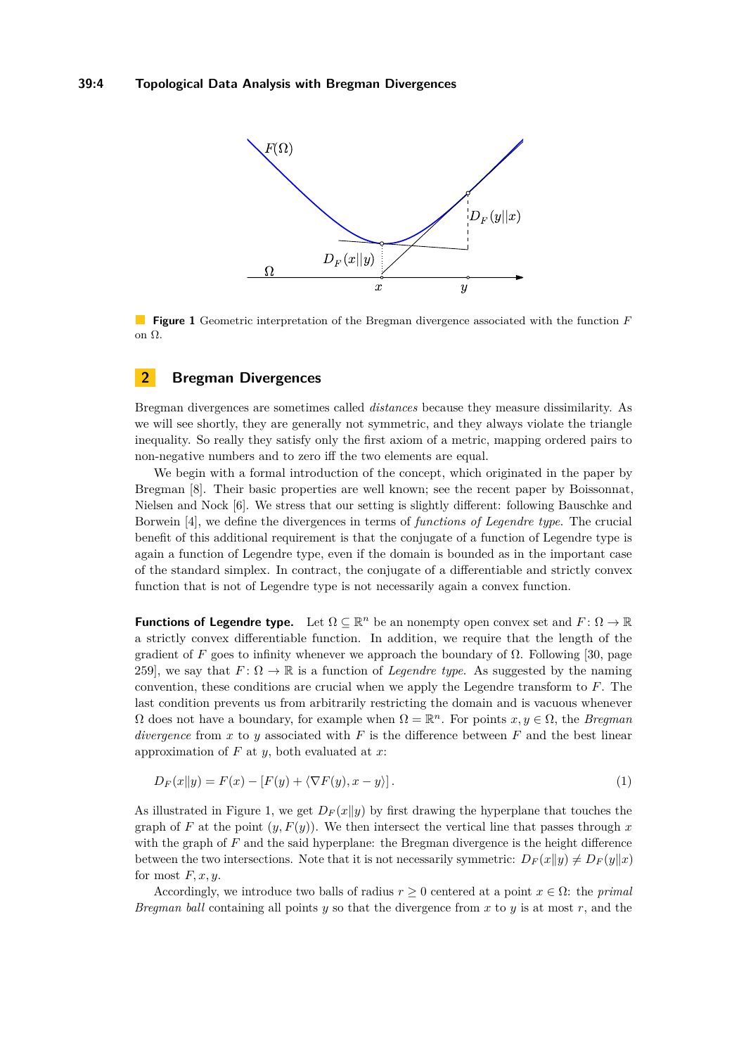<span id="page-3-0"></span>

**Figure 1** Geometric interpretation of the Bregman divergence associated with the function *F* on Ω.

## <span id="page-3-2"></span>**2 Bregman Divergences**

Bregman divergences are sometimes called *distances* because they measure dissimilarity. As we will see shortly, they are generally not symmetric, and they always violate the triangle inequality. So really they satisfy only the first axiom of a metric, mapping ordered pairs to non-negative numbers and to zero iff the two elements are equal.

We begin with a formal introduction of the concept, which originated in the paper by Bregman [\[8\]](#page-14-0). Their basic properties are well known; see the recent paper by Boissonnat, Nielsen and Nock [\[6\]](#page-14-8). We stress that our setting is slightly different: following Bauschke and Borwein [\[4\]](#page-14-7), we define the divergences in terms of *functions of Legendre type*. The crucial benefit of this additional requirement is that the conjugate of a function of Legendre type is again a function of Legendre type, even if the domain is bounded as in the important case of the standard simplex. In contract, the conjugate of a differentiable and strictly convex function that is not of Legendre type is not necessarily again a convex function.

**Functions of Legendre type.** Let  $\Omega \subseteq \mathbb{R}^n$  be an nonempty open convex set and  $F: \Omega \to \mathbb{R}$ a strictly convex differentiable function. In addition, we require that the length of the gradient of *F* goes to infinity whenever we approach the boundary of  $\Omega$ . Following [\[30,](#page-15-11) page 259], we say that  $F: \Omega \to \mathbb{R}$  is a function of *Legendre type*. As suggested by the naming convention, these conditions are crucial when we apply the Legendre transform to *F*. The last condition prevents us from arbitrarily restricting the domain and is vacuous whenever  $\Omega$  does not have a boundary, for example when  $\Omega = \mathbb{R}^n$ . For points  $x, y \in \Omega$ , the *Bregman divergence* from *x* to *y* associated with *F* is the difference between *F* and the best linear approximation of *F* at *y*, both evaluated at *x*:

<span id="page-3-1"></span>
$$
D_F(x||y) = F(x) - [F(y) + \langle \nabla F(y), x - y \rangle]. \tag{1}
$$

As illustrated in Figure [1,](#page-3-0) we get  $D_F(x||y)$  by first drawing the hyperplane that touches the graph of *F* at the point  $(y, F(y))$ . We then intersect the vertical line that passes through x with the graph of  $F$  and the said hyperplane: the Bregman divergence is the height difference between the two intersections. Note that it is not necessarily symmetric:  $D_F(x||y) \neq D_F(y||x)$ for most  $F, x, y$ .

Accordingly, we introduce two balls of radius  $r \geq 0$  centered at a point  $x \in \Omega$ : the *primal Bregman ball* containing all points *y* so that the divergence from *x* to *y* is at most *r*, and the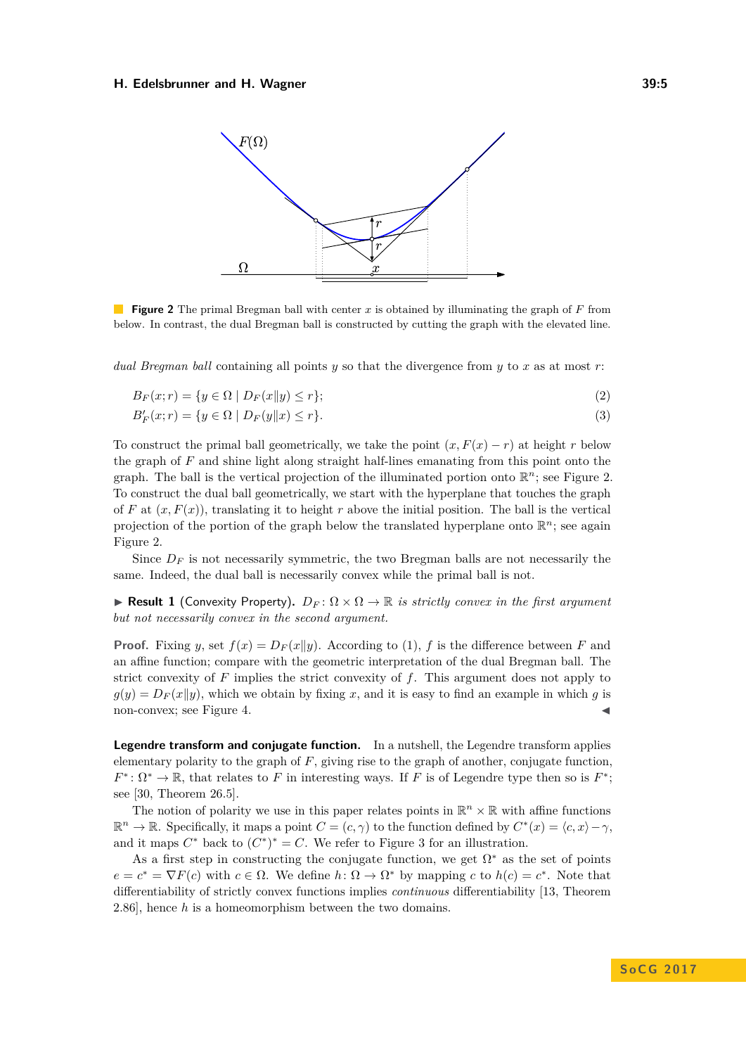<span id="page-4-0"></span>

**Figure 2** The primal Bregman ball with center *x* is obtained by illuminating the graph of *F* from below. In contrast, the dual Bregman ball is constructed by cutting the graph with the elevated line.

*dual Bregman ball* containing all points *y* so that the divergence from *y* to *x* as at most *r*:

<span id="page-4-2"></span><span id="page-4-1"></span>
$$
B_F(x; r) = \{ y \in \Omega \mid D_F(x \| y) \le r \};\tag{2}
$$

$$
B'_{F}(x;r) = \{ y \in \Omega \mid D_{F}(y \| x) \le r \}. \tag{3}
$$

To construct the primal ball geometrically, we take the point  $(x, F(x) - r)$  at height *r* below the graph of *F* and shine light along straight half-lines emanating from this point onto the graph. The ball is the vertical projection of the illuminated portion onto  $\mathbb{R}^n$ ; see Figure [2.](#page-4-0) To construct the dual ball geometrically, we start with the hyperplane that touches the graph of *F* at  $(x, F(x))$ , translating it to height *r* above the initial position. The ball is the vertical projection of the portion of the graph below the translated hyperplane onto  $\mathbb{R}^n$ ; see again Figure [2.](#page-4-0)

Since  $D_F$  is not necessarily symmetric, the two Bregman balls are not necessarily the same. Indeed, the dual ball is necessarily convex while the primal ball is not.

**• Result 1** (Convexity Property).  $D_F: \Omega \times \Omega \to \mathbb{R}$  is strictly convex in the first argument *but not necessarily convex in the second argument.*

**Proof.** Fixing *y*, set  $f(x) = D_F(x||y)$ . According to [\(1\)](#page-3-1), *f* is the difference between *F* and an affine function; compare with the geometric interpretation of the dual Bregman ball. The strict convexity of *F* implies the strict convexity of *f*. This argument does not apply to  $g(y) = D_F(x||y)$ , which we obtain by fixing *x*, and it is easy to find an example in which *g* is non-convex; see Figure [4.](#page-7-0)

**Legendre transform and conjugate function.** In a nutshell, the Legendre transform applies elementary polarity to the graph of *F*, giving rise to the graph of another, conjugate function,  $F^*$ :  $\Omega^* \to \mathbb{R}$ , that relates to *F* in interesting ways. If *F* is of Legendre type then so is  $F^*$ ; see [\[30,](#page-15-11) Theorem 26.5].

The notion of polarity we use in this paper relates points in  $\mathbb{R}^n \times \mathbb{R}$  with affine functions  $\mathbb{R}^n \to \mathbb{R}$ . Specifically, it maps a point  $C = (c, \gamma)$  to the function defined by  $C^*(x) = \langle c, x \rangle - \gamma$ , and it maps  $C^*$  back to  $(C^*)^* = C$ . We refer to Figure [3](#page-5-0) for an illustration.

As a first step in constructing the conjugate function, we get  $\Omega^*$  as the set of points  $e = c^* = \nabla F(c)$  with  $c \in \Omega$ . We define  $h: \Omega \to \Omega^*$  by mapping *c* to  $h(c) = c^*$ . Note that differentiability of strictly convex functions implies *continuous* differentiability [\[13,](#page-14-10) Theorem 2.86], hence *h* is a homeomorphism between the two domains.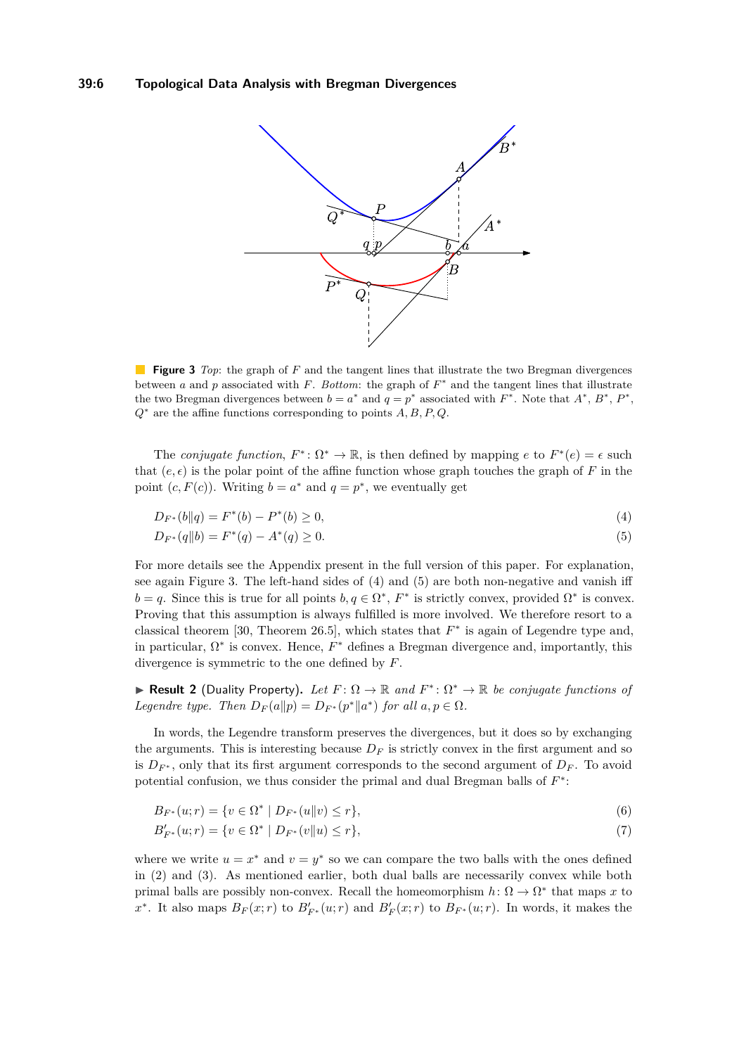<span id="page-5-0"></span>

**Figure 3** *Top*: the graph of F and the tangent lines that illustrate the two Bregman divergences between *a* and *p* associated with *F*. *Bottom*: the graph of  $F^*$  and the tangent lines that illustrate the two Bregman divergences between  $b = a^*$  and  $q = p^*$  associated with  $F^*$ . Note that  $A^*, B^*, P^*$ , *Q* ∗ are the affine functions corresponding to points *A, B, P, Q*.

The *conjugate function,*  $F^*$ :  $\Omega^* \to \mathbb{R}$ , is then defined by mapping *e* to  $F^*(e) = \epsilon$  such that  $(e, \epsilon)$  is the polar point of the affine function whose graph touches the graph of *F* in the point  $(c, F(c))$ . Writing  $b = a^*$  and  $q = p^*$ , we eventually get

<span id="page-5-1"></span>
$$
D_{F^*}(b||q) = F^*(b) - P^*(b) \ge 0,
$$
\n<sup>(4)</sup>

<span id="page-5-2"></span>
$$
D_{F^*}(q||b) = F^*(q) - A^*(q) \ge 0.
$$
\n<sup>(5)</sup>

For more details see the Appendix present in the full version of this paper. For explanation, see again Figure [3.](#page-5-0) The left-hand sides of [\(4\)](#page-5-1) and [\(5\)](#page-5-2) are both non-negative and vanish iff  $b = q$ . Since this is true for all points  $b, q \in \Omega^*$ ,  $F^*$  is strictly convex, provided  $\Omega^*$  is convex. Proving that this assumption is always fulfilled is more involved. We therefore resort to a classical theorem [\[30,](#page-15-11) Theorem 26.5], which states that  $F^*$  is again of Legendre type and, in particular,  $\Omega^*$  is convex. Hence,  $F^*$  defines a Bregman divergence and, importantly, this divergence is symmetric to the one defined by *F*.

► **Result 2** (Duality Property). Let  $F: \Omega \to \mathbb{R}$  and  $F^*: \Omega^* \to \mathbb{R}$  be conjugate functions of *Legendre type. Then*  $D_F(a||p) = D_{F^*}(p^*||a^*)$  *for all*  $a, p \in \Omega$ *.* 

In words, the Legendre transform preserves the divergences, but it does so by exchanging the arguments. This is interesting because  $D_F$  is strictly convex in the first argument and so is  $D_{F^*}$ , only that its first argument corresponds to the second argument of  $D_F$ . To avoid potential confusion, we thus consider the primal and dual Bregman balls of  $F^*$ :

$$
B_{F^*}(u; r) = \{ v \in \Omega^* \mid D_{F^*}(u \parallel v) \le r \},\tag{6}
$$

$$
B'_{F^*}(u;r) = \{ v \in \Omega^* \mid D_{F^*}(v||u) \le r \},\tag{7}
$$

where we write  $u = x^*$  and  $v = y^*$  so we can compare the two balls with the ones defined in [\(2\)](#page-4-1) and [\(3\)](#page-4-2). As mentioned earlier, both dual balls are necessarily convex while both primal balls are possibly non-convex. Recall the homeomorphism  $h: \Omega \to \Omega^*$  that maps x to  $x^*$ . It also maps  $B_F(x; r)$  to  $B'_{F^*}(u; r)$  and  $B'_{F}(x; r)$  to  $B_{F^*}(u; r)$ . In words, it makes the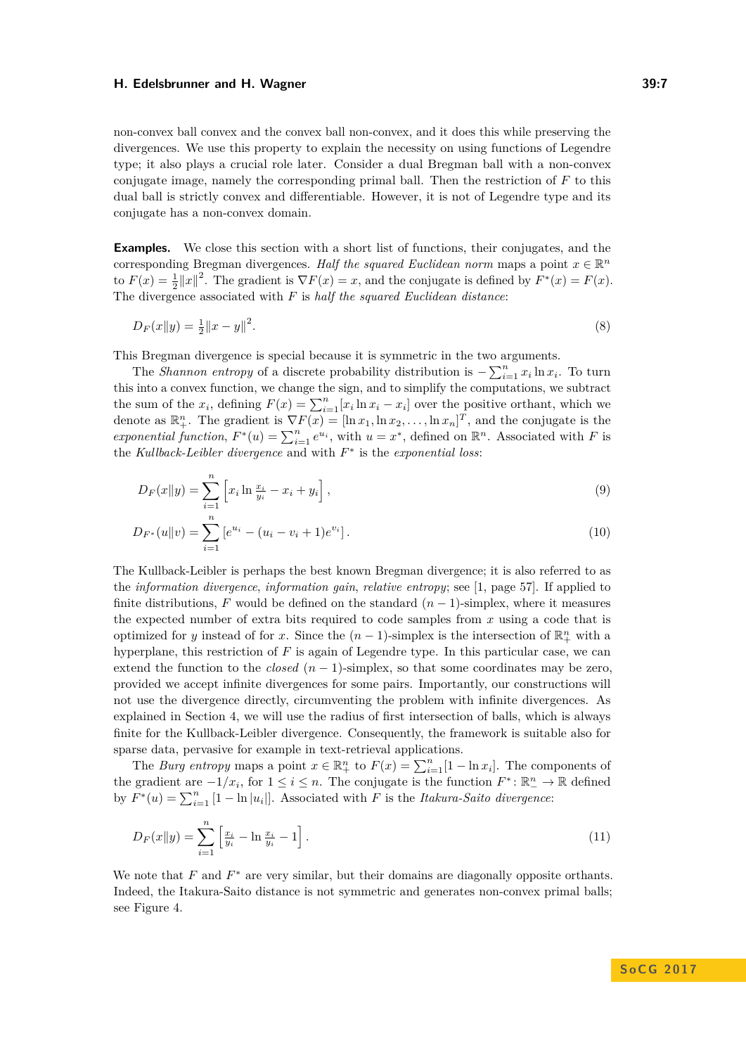#### **H. Edelsbrunner and H. Wagner 39:7 CONSERVING STATE AND THE STATE ASSESSED ASSESSED AT A 39:7**

non-convex ball convex and the convex ball non-convex, and it does this while preserving the divergences. We use this property to explain the necessity on using functions of Legendre type; it also plays a crucial role later. Consider a dual Bregman ball with a non-convex conjugate image, namely the corresponding primal ball. Then the restriction of *F* to this dual ball is strictly convex and differentiable. However, it is not of Legendre type and its conjugate has a non-convex domain.

**Examples.** We close this section with a short list of functions, their conjugates, and the corresponding Bregman divergences. *Half the squared Euclidean norm* maps a point  $x \in \mathbb{R}^n$ to  $F(x) = \frac{1}{2} ||x||^2$ . The gradient is  $\nabla F(x) = x$ , and the conjugate is defined by  $F^*(x) = F(x)$ . The divergence associated with *F* is *half the squared Euclidean distance*:

$$
D_F(x||y) = \frac{1}{2}||x - y||^2. \tag{8}
$$

This Bregman divergence is special because it is symmetric in the two arguments.

The *Shannon entropy* of a discrete probability distribution is  $-\sum_{i=1}^{n} x_i \ln x_i$ . To turn this into a convex function, we change the sign, and to simplify the computations, we subtract the sum of the  $x_i$ , defining  $F(x) = \sum_{i=1}^n [x_i \ln x_i - x_i]$  over the positive orthant, which we denote as  $\mathbb{R}^n_+$ . The gradient is  $\nabla F(x) = [\ln x_1, \ln x_2, \dots, \ln x_n]^T$ , and the conjugate is the *exponential function*,  $F^*(u) = \sum_{i=1}^n e^{u_i}$ , with  $u = x^*$ , defined on  $\mathbb{R}^n$ . Associated with *F* is the *Kullback-Leibler divergence* and with *F* ∗ is the *exponential loss*:

$$
D_F(x||y) = \sum_{i=1}^{n} \left[ x_i \ln \frac{x_i}{y_i} - x_i + y_i \right],
$$
\n(9)

$$
D_{F^*}(u||v) = \sum_{i=1}^n \left[e^{u_i} - (u_i - v_i + 1)e^{v_i}\right].\tag{10}
$$

The Kullback-Leibler is perhaps the best known Bregman divergence; it is also referred to as the *information divergence*, *information gain*, *relative entropy*; see [\[1,](#page-14-6) page 57]. If applied to finite distributions,  $F$  would be defined on the standard  $(n-1)$ -simplex, where it measures the expected number of extra bits required to code samples from *x* using a code that is optimized for *y* instead of for *x*. Since the  $(n-1)$ -simplex is the intersection of  $\mathbb{R}^n_+$  with a hyperplane, this restriction of *F* is again of Legendre type. In this particular case, we can extend the function to the *closed*  $(n-1)$ -simplex, so that some coordinates may be zero, provided we accept infinite divergences for some pairs. Importantly, our constructions will not use the divergence directly, circumventing the problem with infinite divergences. As explained in Section [4,](#page-10-0) we will use the radius of first intersection of balls, which is always finite for the Kullback-Leibler divergence. Consequently, the framework is suitable also for sparse data, pervasive for example in text-retrieval applications.

The *Burg entropy* maps a point  $x \in \mathbb{R}^n_+$  to  $F(x) = \sum_{i=1}^n [1 - \ln x_i]$ . The components of the gradient are  $-1/x_i$ , for  $1 \le i \le n$ . The conjugate is the function  $F^* : \mathbb{R}^n_+ \to \mathbb{R}$  defined by  $F^*(u) = \sum_{i=1}^n [1 - \ln |u_i|]$ . Associated with *F* is the *Itakura-Saito divergence*:

$$
D_F(x||y) = \sum_{i=1}^{n} \left[ \frac{x_i}{y_i} - \ln \frac{x_i}{y_i} - 1 \right].
$$
\n(11)

We note that  $F$  and  $F^*$  are very similar, but their domains are diagonally opposite orthants. Indeed, the Itakura-Saito distance is not symmetric and generates non-convex primal balls; see Figure [4.](#page-7-0)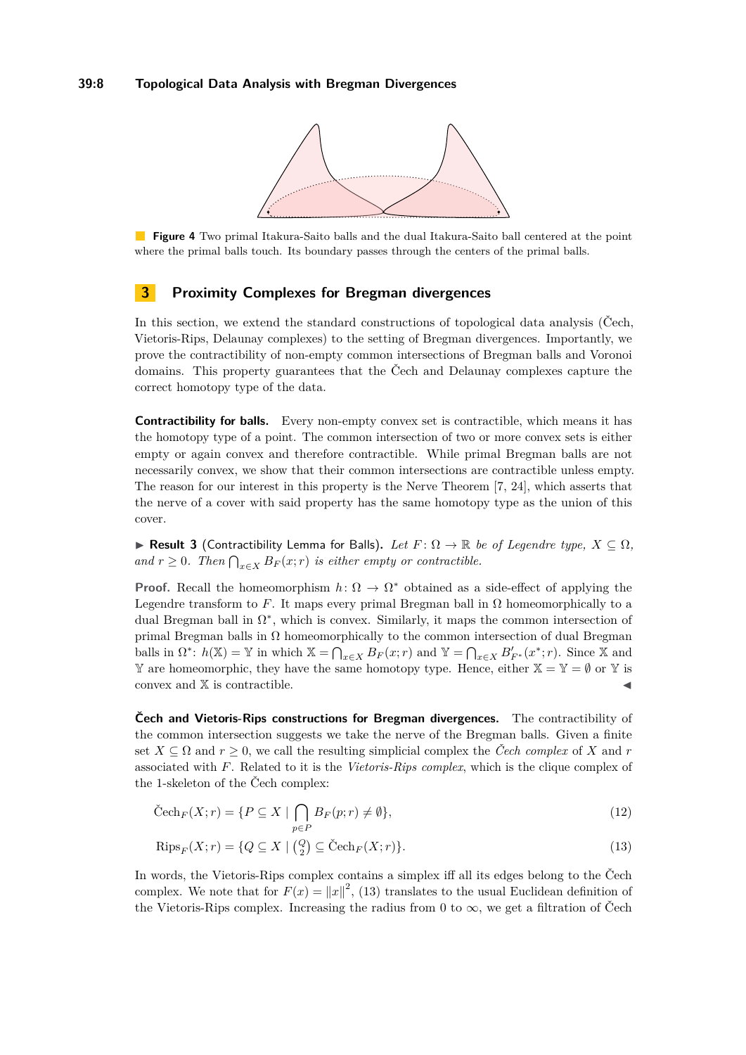## <span id="page-7-0"></span>**39:8 Topological Data Analysis with Bregman Divergences**



**Figure 4** Two primal Itakura-Saito balls and the dual Itakura-Saito ball centered at the point where the primal balls touch. Its boundary passes through the centers of the primal balls.

## <span id="page-7-2"></span>**3 Proximity Complexes for Bregman divergences**

In this section, we extend the standard constructions of topological data analysis (Čech, Vietoris-Rips, Delaunay complexes) to the setting of Bregman divergences. Importantly, we prove the contractibility of non-empty common intersections of Bregman balls and Voronoi domains. This property guarantees that the Čech and Delaunay complexes capture the correct homotopy type of the data.

**Contractibility for balls.** Every non-empty convex set is contractible, which means it has the homotopy type of a point. The common intersection of two or more convex sets is either empty or again convex and therefore contractible. While primal Bregman balls are not necessarily convex, we show that their common intersections are contractible unless empty. The reason for our interest in this property is the Nerve Theorem [\[7,](#page-14-11) [24\]](#page-15-7), which asserts that the nerve of a cover with said property has the same homotopy type as the union of this cover.

 $\blacktriangleright$  **Result 3** (Contractibility Lemma for Balls). Let  $F: \Omega \to \mathbb{R}$  be of Legendre type,  $X \subseteq \Omega$ , *and*  $r$  ≥ 0*. Then*  $\bigcap_{x \in X} B_F(x; r)$  *is either empty or contractible.* 

**Proof.** Recall the homeomorphism  $h: \Omega \to \Omega^*$  obtained as a side-effect of applying the Legendre transform to *F*. It maps every primal Bregman ball in  $\Omega$  homeomorphically to a dual Bregman ball in  $\Omega^*$ , which is convex. Similarly, it maps the common intersection of primal Bregman balls in  $\Omega$  homeomorphically to the common intersection of dual Bregman balls in  $\Omega^*$ :  $h(\mathbb{X}) = \mathbb{Y}$  in which  $\mathbb{X} = \bigcap_{x \in X} B_F(x; r)$  and  $\mathbb{Y} = \bigcap_{x \in X} B'_{F^*}(x^*; r)$ . Since X and  $\mathbb Y$  are homeomorphic, they have the same homotopy type. Hence, either  $\mathbb X = \mathbb Y = ∅$  or  $\mathbb Y$  is convex and  $X$  is contractible.

**Čech and Vietoris-Rips constructions for Bregman divergences.** The contractibility of the common intersection suggests we take the nerve of the Bregman balls. Given a finite set  $X \subseteq \Omega$  and  $r \geq 0$ , we call the resulting simplicial complex the *Čech complex* of X and r associated with *F*. Related to it is the *Vietoris-Rips complex*, which is the clique complex of the 1-skeleton of the Čech complex:

$$
\check{\mathrm{C}}\mathrm{ech}_F(X;r) = \{ P \subseteq X \mid \bigcap_{p \in P} B_F(p;r) \neq \emptyset \},\tag{12}
$$

<span id="page-7-1"></span>
$$
\text{Rips}_F(X;r) = \{ Q \subseteq X \mid \binom{Q}{2} \subseteq \text{Čech}_F(X;r) \}. \tag{13}
$$

In words, the Vietoris-Rips complex contains a simplex iff all its edges belong to the Čech complex. We note that for  $F(x) = ||x||^2$ , [\(13\)](#page-7-1) translates to the usual Euclidean definition of the Vietoris-Rips complex. Increasing the radius from 0 to  $\infty$ , we get a filtration of Čech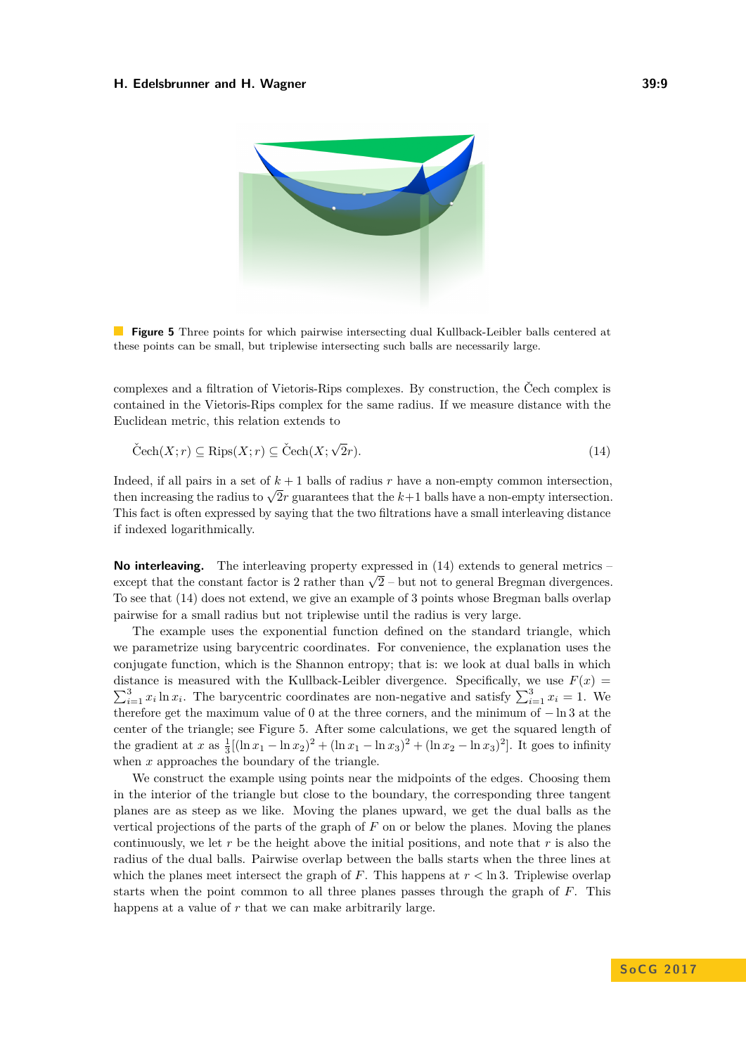<span id="page-8-1"></span>

**Figure 5** Three points for which pairwise intersecting dual Kullback-Leibler balls centered at these points can be small, but triplewise intersecting such balls are necessarily large.

complexes and a filtration of Vietoris-Rips complexes. By construction, the Čech complex is contained in the Vietoris-Rips complex for the same radius. If we measure distance with the Euclidean metric, this relation extends to

<span id="page-8-0"></span>
$$
\check{\mathrm{C}}\mathrm{ech}(X;r) \subseteq \mathrm{Rips}(X;r) \subseteq \check{\mathrm{C}}\mathrm{ech}(X;\sqrt{2}r). \tag{14}
$$

Indeed, if all pairs in a set of  $k + 1$  balls of radius  $r$  have a non-empty common intersection, then increasing the radius to  $\sqrt{2}r$  guarantees that the  $k+1$  balls have a non-empty intersection. This fact is often expressed by saying that the two filtrations have a small interleaving distance if indexed logarithmically.

**No interleaving.** The interleaving property expressed in [\(14\)](#page-8-0) extends to general metrics – **NO Interleaving.** The interleaving property expressed in (14) extends to general metrics – except that the constant factor is 2 rather than  $\sqrt{2}$  – but not to general Bregman divergences. To see that [\(14\)](#page-8-0) does not extend, we give an example of 3 points whose Bregman balls overlap pairwise for a small radius but not triplewise until the radius is very large.

The example uses the exponential function defined on the standard triangle, which we parametrize using barycentric coordinates. For convenience, the explanation uses the conjugate function, which is the Shannon entropy; that is: we look at dual balls in which distance is measured with the Kullback-Leibler divergence. Specifically, we use  $F(x)$  =  $\sum_{i=1}^{3} x_i \ln x_i$ . The barycentric coordinates are non-negative and satisfy  $\sum_{i=1}^{3} x_i = 1$ . We therefore get the maximum value of 0 at the three corners, and the minimum of − ln 3 at the center of the triangle; see Figure [5.](#page-8-1) After some calculations, we get the squared length of the gradient at *x* as  $\frac{1}{3}[(\ln x_1 - \ln x_2)^2 + (\ln x_1 - \ln x_3)^2 + (\ln x_2 - \ln x_3)^2]$ . It goes to infinity when *x* approaches the boundary of the triangle.

We construct the example using points near the midpoints of the edges. Choosing them in the interior of the triangle but close to the boundary, the corresponding three tangent planes are as steep as we like. Moving the planes upward, we get the dual balls as the vertical projections of the parts of the graph of *F* on or below the planes. Moving the planes continuously, we let *r* be the height above the initial positions, and note that *r* is also the radius of the dual balls. Pairwise overlap between the balls starts when the three lines at which the planes meet intersect the graph of  $F$ . This happens at  $r < \ln 3$ . Triplewise overlap starts when the point common to all three planes passes through the graph of *F*. This happens at a value of *r* that we can make arbitrarily large.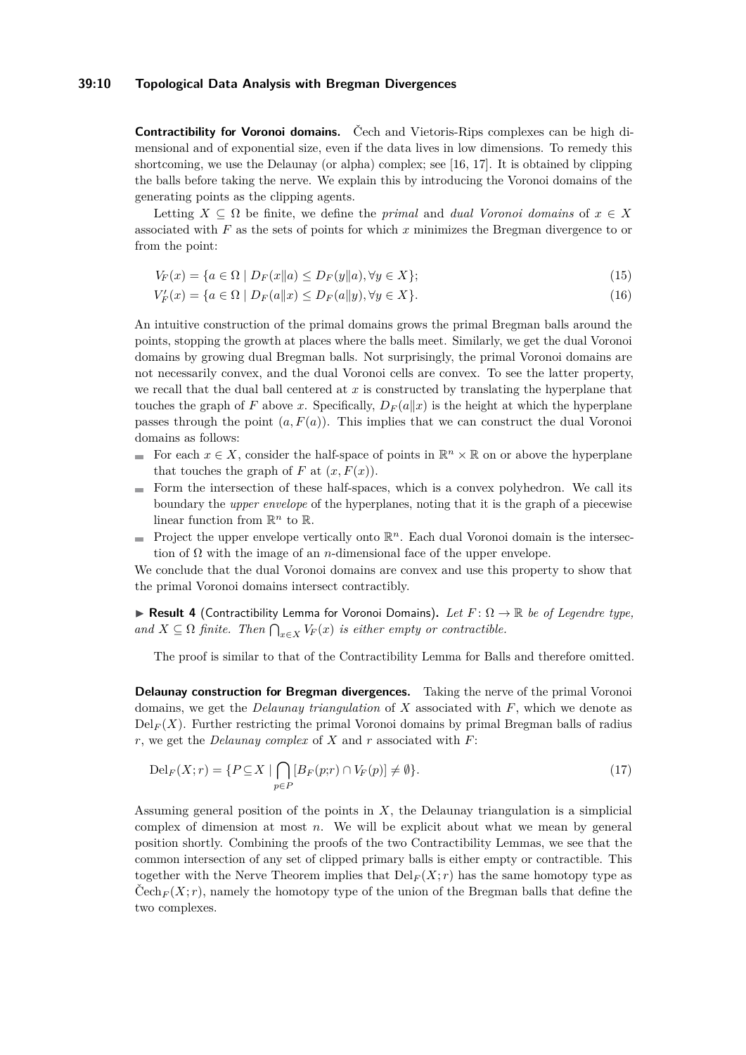## **39:10 Topological Data Analysis with Bregman Divergences**

**Contractibility for Voronoi domains.** Čech and Vietoris-Rips complexes can be high dimensional and of exponential size, even if the data lives in low dimensions. To remedy this shortcoming, we use the Delaunay (or alpha) complex; see [\[16,](#page-15-4) [17\]](#page-15-13). It is obtained by clipping the balls before taking the nerve. We explain this by introducing the Voronoi domains of the generating points as the clipping agents.

Letting  $X \subseteq \Omega$  be finite, we define the *primal* and *dual Voronoi domains* of  $x \in X$ associated with *F* as the sets of points for which *x* minimizes the Bregman divergence to or from the point:

$$
V_F(x) = \{a \in \Omega \mid D_F(x||a) \le D_F(y||a), \forall y \in X\};\tag{15}
$$

$$
V'_{F}(x) = \{ a \in \Omega \mid D_{F}(a||x) \le D_{F}(a||y), \forall y \in X \}. \tag{16}
$$

An intuitive construction of the primal domains grows the primal Bregman balls around the points, stopping the growth at places where the balls meet. Similarly, we get the dual Voronoi domains by growing dual Bregman balls. Not surprisingly, the primal Voronoi domains are not necessarily convex, and the dual Voronoi cells are convex. To see the latter property, we recall that the dual ball centered at *x* is constructed by translating the hyperplane that touches the graph of *F* above *x*. Specifically,  $D_F(a||x)$  is the height at which the hyperplane passes through the point  $(a, F(a))$ . This implies that we can construct the dual Voronoi domains as follows:

- For each  $x \in X$ , consider the half-space of points in  $\mathbb{R}^n \times \mathbb{R}$  on or above the hyperplane that touches the graph of *F* at  $(x, F(x))$ .
- Form the intersection of these half-spaces, which is a convex polyhedron. We call its boundary the *upper envelope* of the hyperplanes, noting that it is the graph of a piecewise linear function from  $\mathbb{R}^n$  to  $\mathbb{R}$ .
- Project the upper envelope vertically onto  $\mathbb{R}^n$ . Each dual Voronoi domain is the intersection of  $\Omega$  with the image of an *n*-dimensional face of the upper envelope.

We conclude that the dual Voronoi domains are convex and use this property to show that the primal Voronoi domains intersect contractibly.

**► Result 4** (Contractibility Lemma for Voronoi Domains). Let  $F: \Omega \to \mathbb{R}$  be of Legendre type,  $and X ⊆ Ω$  *finite. Then*  $\bigcap_{x \in X} V_F(x)$  *is either empty or contractible.* 

The proof is similar to that of the Contractibility Lemma for Balls and therefore omitted.

**Delaunay construction for Bregman divergences.** Taking the nerve of the primal Voronoi domains, we get the *Delaunay triangulation* of *X* associated with *F*, which we denote as  $\text{Del}_F(X)$ . Further restricting the primal Voronoi domains by primal Bregman balls of radius *r*, we get the *Delaunay complex* of *X* and *r* associated with *F*:

$$
\mathrm{Del}_F(X;r) = \{ P \subseteq X \mid \bigcap_{p \in P} [B_F(p;r) \cap V_F(p)] \neq \emptyset \}. \tag{17}
$$

Assuming general position of the points in *X*, the Delaunay triangulation is a simplicial complex of dimension at most *n*. We will be explicit about what we mean by general position shortly. Combining the proofs of the two Contractibility Lemmas, we see that the common intersection of any set of clipped primary balls is either empty or contractible. This together with the Nerve Theorem implies that  $\text{Del}_F(X; r)$  has the same homotopy type as  $\text{Čech}_F(X; r)$ , namely the homotopy type of the union of the Bregman balls that define the two complexes.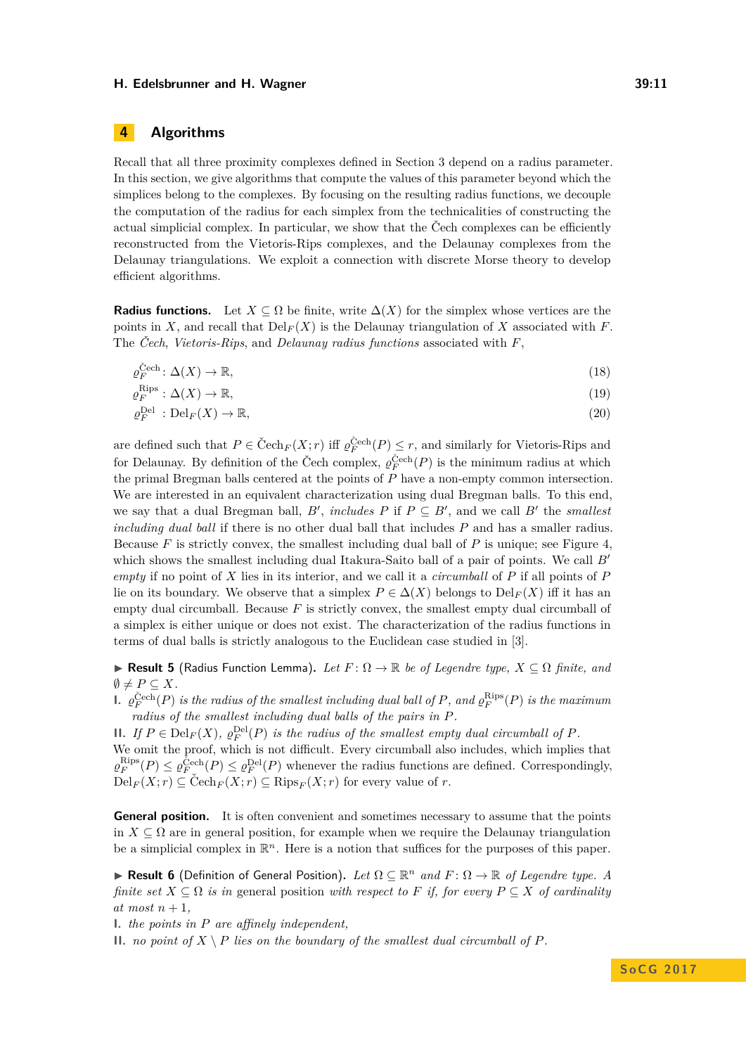## <span id="page-10-0"></span>**4 Algorithms**

Recall that all three proximity complexes defined in Section [3](#page-7-2) depend on a radius parameter. In this section, we give algorithms that compute the values of this parameter beyond which the simplices belong to the complexes. By focusing on the resulting radius functions, we decouple the computation of the radius for each simplex from the technicalities of constructing the actual simplicial complex. In particular, we show that the Čech complexes can be efficiently reconstructed from the Vietoris-Rips complexes, and the Delaunay complexes from the Delaunay triangulations. We exploit a connection with discrete Morse theory to develop efficient algorithms.

**Radius functions.** Let  $X \subseteq \Omega$  be finite, write  $\Delta(X)$  for the simplex whose vertices are the points in *X*, and recall that  $\text{Del}_F(X)$  is the Delaunay triangulation of *X* associated with *F*. The *Čech*, *Vietoris-Rips*, and *Delaunay radius functions* associated with *F*,

$$
\varrho_F^{\text{Čech}} \colon \Delta(X) \to \mathbb{R},\tag{18}
$$

$$
\varrho_F^{\text{Rips}} : \Delta(X) \to \mathbb{R},\tag{19}
$$

$$
\varrho_F^{\mathrm{Del}} : \mathrm{Del}_F(X) \to \mathbb{R},\tag{20}
$$

are defined such that  $P \in \check{C}ech_F(X; r)$  iff  $\varrho_F^{\check{C}ech}(P) \leq r$ , and similarly for Vietoris-Rips and for Delaunay. By definition of the Čech complex,  $\varrho_F^{\text{Čech}}(P)$  is the minimum radius at which the primal Bregman balls centered at the points of *P* have a non-empty common intersection. We are interested in an equivalent characterization using dual Bregman balls. To this end, we say that a dual Bregman ball, *B'*, *includes*  $P$  if  $P \subseteq B'$ , and we call  $B'$  the *smallest including dual ball* if there is no other dual ball that includes *P* and has a smaller radius. Because  $F$  is strictly convex, the smallest including dual ball of  $P$  is unique; see Figure [4,](#page-7-0) which shows the smallest including dual Itakura-Saito ball of a pair of points. We call  $B'$ *empty* if no point of *X* lies in its interior, and we call it a *circumball* of *P* if all points of *P* lie on its boundary. We observe that a simplex  $P \in \Delta(X)$  belongs to  $\text{Del}_F(X)$  iff it has an empty dual circumball. Because *F* is strictly convex, the smallest empty dual circumball of a simplex is either unique or does not exist. The characterization of the radius functions in terms of dual balls is strictly analogous to the Euclidean case studied in [\[3\]](#page-14-9).

 $▶$  **Result 5** (Radius Function Lemma). Let  $F: \Omega \to \mathbb{R}$  be of Legendre type,  $X \subseteq \Omega$  finite, and  $\emptyset \neq P \subseteq X$ .

**I.**  $\varrho_F^{\text{Cech}}(P)$  is the radius of the smallest including dual ball of P, and  $\varrho_F^{\text{Rips}}(P)$  is the maximum *radius of the smallest including dual balls of the pairs in P.*

**II.** *If*  $P \in \text{Del}_F(X)$ *,*  $\varrho_F^{\text{Del}}(P)$  *is the radius of the smallest empty dual circumball of*  $P$ *.* We omit the proof, which is not difficult. Every circumball also includes, which implies that  $\varrho_F^{\text{Rips}}(P) \leq \varrho_F^{\text{Cech}}(P) \leq \varrho_F^{\text{Del}}(P)$  whenever the radius functions are defined. Correspondingly,  $\operatorname{Del}_F(X; r) \subseteq \operatorname{Čech}_F(X; r) \subseteq \operatorname{Rips}_F(X; r)$  for every value of *r*.

**General position.** It is often convenient and sometimes necessary to assume that the points in  $X \subseteq \Omega$  are in general position, for example when we require the Delaunay triangulation be a simplicial complex in  $\mathbb{R}^n$ . Here is a notion that suffices for the purposes of this paper.

**► Result 6** (Definition of General Position). Let  $\Omega \subseteq \mathbb{R}^n$  and  $F: \Omega \to \mathbb{R}$  of Legendre type. A *finite set*  $X \subseteq \Omega$  *is in* general position *with respect to F if, for every*  $P \subseteq X$  *of cardinality*  $at most n+1$ ,

**I.** *the points in P are affinely independent,*

**II.** *no point of*  $X \setminus P$  *lies on the boundary of the smallest dual circumball of*  $P$ *.*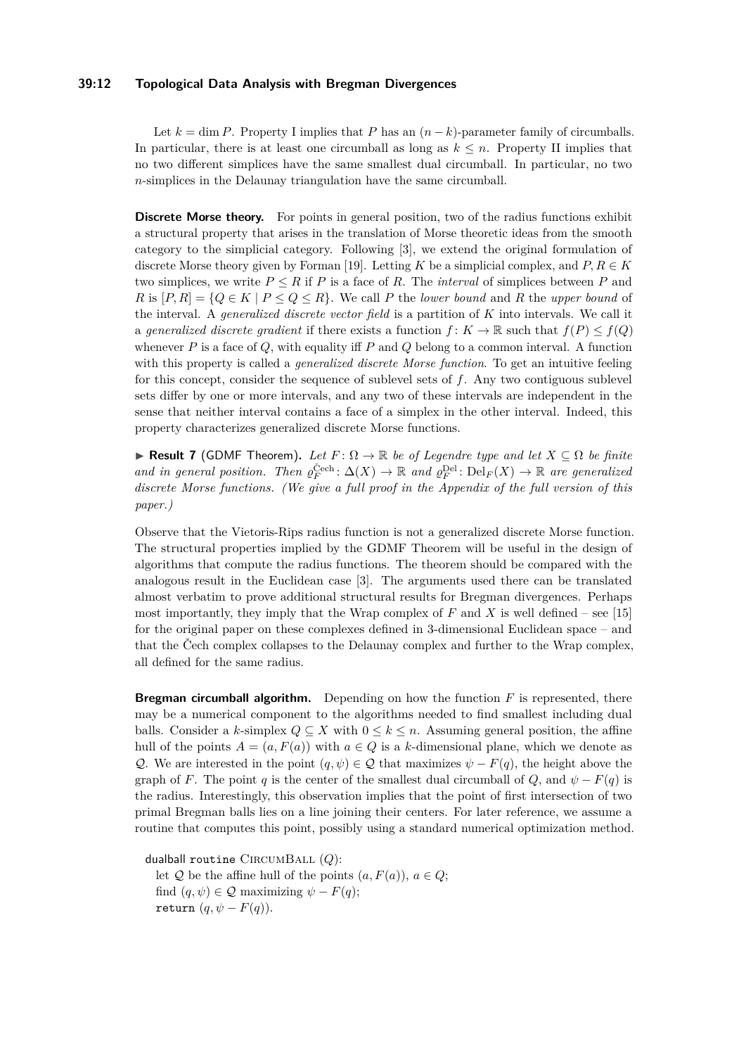## **39:12 Topological Data Analysis with Bregman Divergences**

Let  $k = \dim P$ . Property I implies that P has an  $(n - k)$ -parameter family of circumballs. In particular, there is at least one circumball as long as  $k \leq n$ . Property II implies that no two different simplices have the same smallest dual circumball. In particular, no two *n*-simplices in the Delaunay triangulation have the same circumball.

**Discrete Morse theory.** For points in general position, two of the radius functions exhibit a structural property that arises in the translation of Morse theoretic ideas from the smooth category to the simplicial category. Following [\[3\]](#page-14-9), we extend the original formulation of discrete Morse theory given by Forman [\[19\]](#page-15-14). Letting *K* be a simplicial complex, and  $P, R \in K$ two simplices, we write *P* ≤ *R* if *P* is a face of *R*. The *interval* of simplices between *P* and *R* is  $[P, R] = \{Q \in K \mid P \leq Q \leq R\}$ . We call *P* the *lower bound* and *R* the *upper bound* of the interval. A *generalized discrete vector field* is a partition of *K* into intervals. We call it a *generalized discrete gradient* if there exists a function  $f: K \to \mathbb{R}$  such that  $f(P) \leq f(Q)$ whenever *P* is a face of *Q*, with equality iff *P* and *Q* belong to a common interval. A function with this property is called a *generalized discrete Morse function*. To get an intuitive feeling for this concept, consider the sequence of sublevel sets of *f*. Any two contiguous sublevel sets differ by one or more intervals, and any two of these intervals are independent in the sense that neither interval contains a face of a simplex in the other interval. Indeed, this property characterizes generalized discrete Morse functions.

 $▶$  **Result 7** (GDMF Theorem). Let  $F: \Omega \to \mathbb{R}$  be of Legendre type and let  $X \subseteq \Omega$  be finite and in general position. Then  $\varrho_F^{\text{Cech}}$ :  $\Delta(X) \to \mathbb{R}$  and  $\varrho_F^{\text{Del}}$ :  $\text{Del}_F(X) \to \mathbb{R}$  are generalized *discrete Morse functions. (We give a full proof in the Appendix of the full version of this paper.)*

Observe that the Vietoris-Rips radius function is not a generalized discrete Morse function. The structural properties implied by the GDMF Theorem will be useful in the design of algorithms that compute the radius functions. The theorem should be compared with the analogous result in the Euclidean case [\[3\]](#page-14-9). The arguments used there can be translated almost verbatim to prove additional structural results for Bregman divergences. Perhaps most importantly, they imply that the Wrap complex of  $F$  and  $X$  is well defined – see [\[15\]](#page-14-12) for the original paper on these complexes defined in 3-dimensional Euclidean space – and that the Čech complex collapses to the Delaunay complex and further to the Wrap complex, all defined for the same radius.

**Bregman circumball algorithm.** Depending on how the function *F* is represented, there may be a numerical component to the algorithms needed to find smallest including dual balls. Consider a *k*-simplex  $Q \subseteq X$  with  $0 \leq k \leq n$ . Assuming general position, the affine hull of the points  $A = (a, F(a))$  with  $a \in Q$  is a *k*-dimensional plane, which we denote as Q. We are interested in the point  $(q, \psi) \in \mathcal{Q}$  that maximizes  $\psi - F(q)$ , the height above the graph of *F*. The point *q* is the center of the smallest dual circumball of *Q*, and  $\psi$  − *F*(*q*) is the radius. Interestingly, this observation implies that the point of first intersection of two primal Bregman balls lies on a line joining their centers. For later reference, we assume a routine that computes this point, possibly using a standard numerical optimization method.

dualball routine CircumBall (*Q*):

let  $Q$  be the affine hull of the points  $(a, F(a))$ ,  $a \in Q$ ; find  $(q, \psi) \in \mathcal{Q}$  maximizing  $\psi - F(q)$ ; return  $(q, \psi - F(q))$ .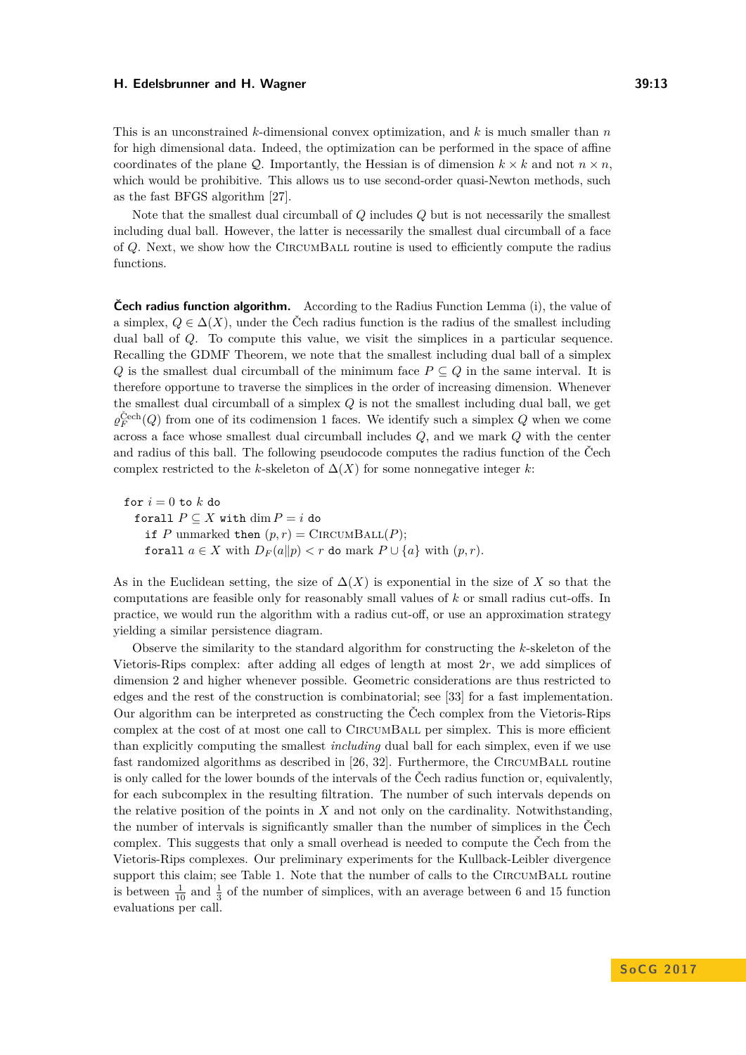This is an unconstrained *k*-dimensional convex optimization, and *k* is much smaller than *n* for high dimensional data. Indeed, the optimization can be performed in the space of affine coordinates of the plane Q. Importantly, the Hessian is of dimension  $k \times k$  and not  $n \times n$ , which would be prohibitive. This allows us to use second-order quasi-Newton methods, such as the fast BFGS algorithm [\[27\]](#page-15-15).

Note that the smallest dual circumball of *Q* includes *Q* but is not necessarily the smallest including dual ball. However, the latter is necessarily the smallest dual circumball of a face of *Q*. Next, we show how the CircumBall routine is used to efficiently compute the radius functions.

**Čech radius function algorithm.** According to the Radius Function Lemma (i), the value of a simplex,  $Q \in \Delta(X)$ , under the Čech radius function is the radius of the smallest including dual ball of *Q*. To compute this value, we visit the simplices in a particular sequence. Recalling the GDMF Theorem, we note that the smallest including dual ball of a simplex *Q* is the smallest dual circumball of the minimum face  $P \subseteq Q$  in the same interval. It is therefore opportune to traverse the simplices in the order of increasing dimension. Whenever the smallest dual circumball of a simplex *Q* is not the smallest including dual ball, we get  $\varrho_F^{\text{Cech}}(Q)$  from one of its codimension 1 faces. We identify such a simplex  $Q$  when we come across a face whose smallest dual circumball includes *Q*, and we mark *Q* with the center and radius of this ball. The following pseudocode computes the radius function of the Čech complex restricted to the *k*-skeleton of  $\Delta(X)$  for some nonnegative integer *k*:

for  $i = 0$  to  $k$  do forall  $P \subseteq X$  with  $\dim P = i$  do if *P* unmarked then  $(p, r) =$  CIRCUMBALL $(P)$ ; forall  $a \in X$  with  $D_F(a||p) < r$  do mark  $P \cup \{a\}$  with  $(p, r)$ .

As in the Euclidean setting, the size of  $\Delta(X)$  is exponential in the size of X so that the computations are feasible only for reasonably small values of *k* or small radius cut-offs. In practice, we would run the algorithm with a radius cut-off, or use an approximation strategy yielding a similar persistence diagram.

Observe the similarity to the standard algorithm for constructing the *k*-skeleton of the Vietoris-Rips complex: after adding all edges of length at most 2*r*, we add simplices of dimension 2 and higher whenever possible. Geometric considerations are thus restricted to edges and the rest of the construction is combinatorial; see [\[33\]](#page-15-12) for a fast implementation. Our algorithm can be interpreted as constructing the Čech complex from the Vietoris-Rips complex at the cost of at most one call to CircumBall per simplex. This is more efficient than explicitly computing the smallest *including* dual ball for each simplex, even if we use fast randomized algorithms as described in [\[26,](#page-15-16) [32\]](#page-15-17). Furthermore, the CircumBall routine is only called for the lower bounds of the intervals of the Čech radius function or, equivalently, for each subcomplex in the resulting filtration. The number of such intervals depends on the relative position of the points in *X* and not only on the cardinality. Notwithstanding, the number of intervals is significantly smaller than the number of simplices in the Čech complex. This suggests that only a small overhead is needed to compute the Čech from the Vietoris-Rips complexes. Our preliminary experiments for the Kullback-Leibler divergence support this claim; see Table [1.](#page-13-0) Note that the number of calls to the CIRCUMBALL routine is between  $\frac{1}{10}$  and  $\frac{1}{3}$  of the number of simplices, with an average between 6 and 15 function evaluations per call.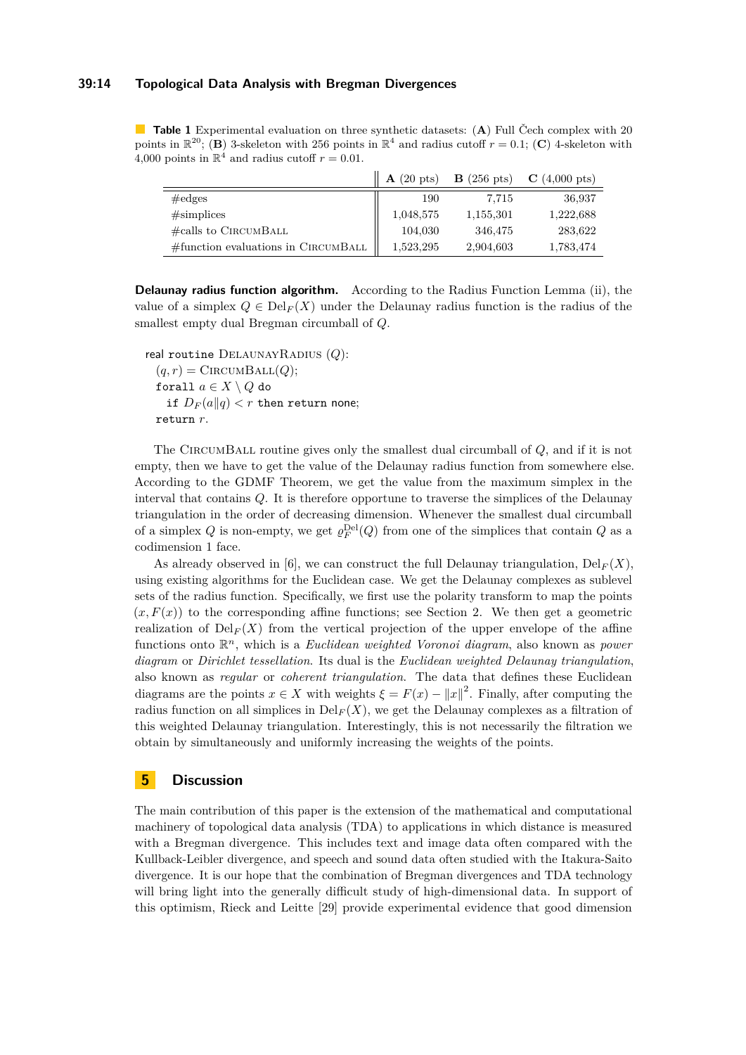## **39:14 Topological Data Analysis with Bregman Divergences**

<span id="page-13-0"></span>**Table 1** Experimental evaluation on three synthetic datasets: (**A**) Full Čech complex with 20 points in  $\mathbb{R}^{20}$ ; (B) 3-skeleton with 256 points in  $\mathbb{R}^{4}$  and radius cutoff  $r = 0.1$ ; (C) 4-skeleton with 4,000 points in  $\mathbb{R}^4$  and radius cutoff  $r = 0.01$ .

|                                         |           |           | <b>A</b> (20 pts) <b>B</b> (256 pts) <b>C</b> (4,000 pts) |
|-----------------------------------------|-----------|-----------|-----------------------------------------------------------|
| $\#$ edges                              | 190       | 7.715     | 36,937                                                    |
| #simplees                               | 1,048,575 | 1,155,301 | 1,222,688                                                 |
| $\#$ calls to CIRCUMBALL                | 104,030   | 346,475   | 283,622                                                   |
| $\#$ function evaluations in CIRCUMBALL | 1,523,295 | 2,904,603 | 1,783,474                                                 |

**Delaunay radius function algorithm.** According to the Radius Function Lemma (ii), the value of a simplex  $Q \in \text{Del}_F(X)$  under the Delaunay radius function is the radius of the smallest empty dual Bregman circumball of *Q*.

real routine DelaunayRadius (*Q*):  $(q, r) = \text{CircumBALL}(Q);$ forall  $a \in X \setminus Q$  do if  $D_F(a||q) < r$  then return none; return *r*.

The CircumBall routine gives only the smallest dual circumball of *Q*, and if it is not empty, then we have to get the value of the Delaunay radius function from somewhere else. According to the GDMF Theorem, we get the value from the maximum simplex in the interval that contains *Q*. It is therefore opportune to traverse the simplices of the Delaunay triangulation in the order of decreasing dimension. Whenever the smallest dual circumball of a simplex *Q* is non-empty, we get  $\varrho_F^{\text{Del}}(Q)$  from one of the simplices that contain *Q* as a codimension 1 face.

As already observed in [\[6\]](#page-14-8), we can construct the full Delaunay triangulation,  $\text{Del}_F(X)$ , using existing algorithms for the Euclidean case. We get the Delaunay complexes as sublevel sets of the radius function. Specifically, we first use the polarity transform to map the points  $(x, F(x))$  to the corresponding affine functions; see Section [2.](#page-3-2) We then get a geometric realization of  $\text{Del}_F(X)$  from the vertical projection of the upper envelope of the affine functions onto R *<sup>n</sup>*, which is a *Euclidean weighted Voronoi diagram*, also known as *power diagram* or *Dirichlet tessellation*. Its dual is the *Euclidean weighted Delaunay triangulation*, also known as *regular* or *coherent triangulation*. The data that defines these Euclidean diagrams are the points  $x \in X$  with weights  $\xi = F(x) - ||x||^2$ . Finally, after computing the radius function on all simplices in  $\text{Del}_F(X)$ , we get the Delaunay complexes as a filtration of this weighted Delaunay triangulation. Interestingly, this is not necessarily the filtration we obtain by simultaneously and uniformly increasing the weights of the points.

## **5 Discussion**

The main contribution of this paper is the extension of the mathematical and computational machinery of topological data analysis (TDA) to applications in which distance is measured with a Bregman divergence. This includes text and image data often compared with the Kullback-Leibler divergence, and speech and sound data often studied with the Itakura-Saito divergence. It is our hope that the combination of Bregman divergences and TDA technology will bring light into the generally difficult study of high-dimensional data. In support of this optimism, Rieck and Leitte [\[29\]](#page-15-18) provide experimental evidence that good dimension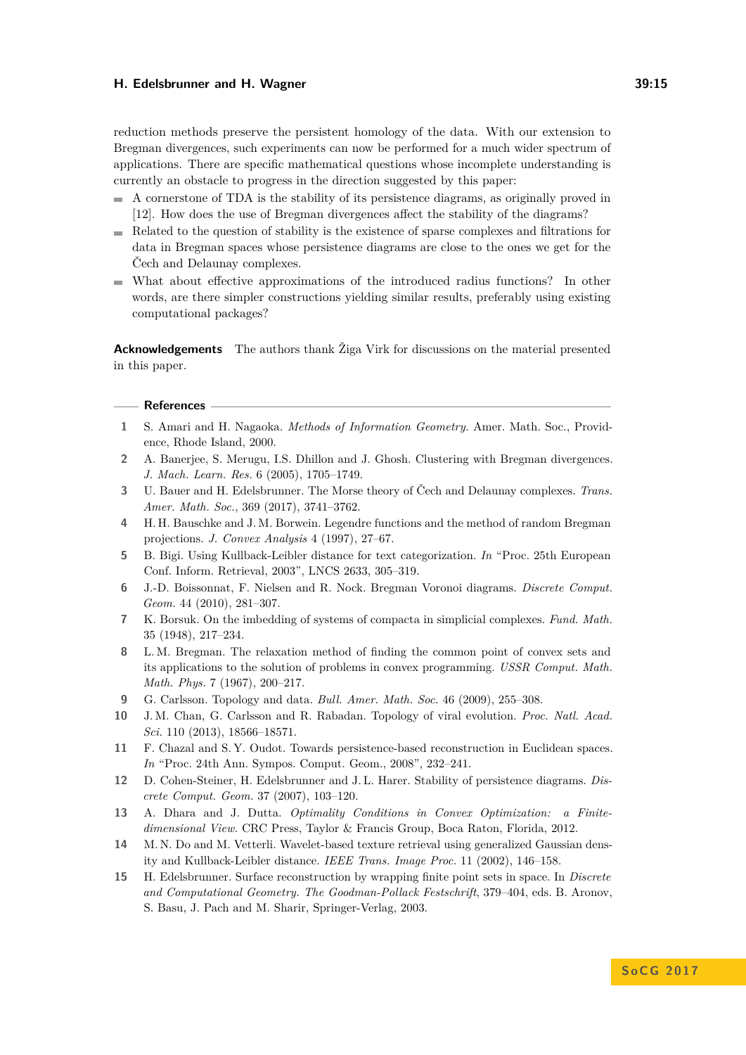reduction methods preserve the persistent homology of the data. With our extension to Bregman divergences, such experiments can now be performed for a much wider spectrum of applications. There are specific mathematical questions whose incomplete understanding is currently an obstacle to progress in the direction suggested by this paper:

- $\blacksquare$  A cornerstone of TDA is the stability of its persistence diagrams, as originally proved in [\[12\]](#page-14-13). How does the use of Bregman divergences affect the stability of the diagrams?
- Related to the question of stability is the existence of sparse complexes and filtrations for data in Bregman spaces whose persistence diagrams are close to the ones we get for the Čech and Delaunay complexes.
- What about effective approximations of the introduced radius functions? In other ÷. words, are there simpler constructions yielding similar results, preferably using existing computational packages?

**Acknowledgements** The authors thank Žiga Virk for discussions on the material presented in this paper.

#### **References**

- <span id="page-14-6"></span>**1** S. Amari and H. Nagaoka. *Methods of Information Geometry.* Amer. Math. Soc., Providence, Rhode Island, 2000.
- <span id="page-14-5"></span>**2** A. Banerjee, S. Merugu, I.S. Dhillon and J. Ghosh. Clustering with Bregman divergences. *J. Mach. Learn. Res.* 6 (2005), 1705–1749.
- <span id="page-14-9"></span>**3** U. Bauer and H. Edelsbrunner. The Morse theory of Čech and Delaunay complexes. *Trans. Amer. Math. Soc.*, 369 (2017), 3741–3762.
- <span id="page-14-7"></span>**4** H. H. Bauschke and J. M. Borwein. Legendre functions and the method of random Bregman projections. *J. Convex Analysis* 4 (1997), 27–67.
- <span id="page-14-1"></span>**5** B. Bigi. Using Kullback-Leibler distance for text categorization. *In* "Proc. 25th European Conf. Inform. Retrieval, 2003", LNCS 2633, 305–319.
- <span id="page-14-8"></span>**6** J.-D. Boissonnat, F. Nielsen and R. Nock. Bregman Voronoi diagrams. *Discrete Comput. Geom.* 44 (2010), 281–307.
- <span id="page-14-11"></span>**7** K. Borsuk. On the imbedding of systems of compacta in simplicial complexes. *Fund. Math.* 35 (1948), 217–234.
- <span id="page-14-0"></span>**8** L. M. Bregman. The relaxation method of finding the common point of convex sets and its applications to the solution of problems in convex programming. *USSR Comput. Math. Math. Phys.* 7 (1967), 200–217.
- **9** G. Carlsson. Topology and data. *Bull. Amer. Math. Soc.* 46 (2009), 255–308.
- <span id="page-14-4"></span>**10** J. M. Chan, G. Carlsson and R. Rabadan. Topology of viral evolution. *Proc. Natl. Acad. Sci.* 110 (2013), 18566–18571.
- <span id="page-14-3"></span>**11** F. Chazal and S. Y. Oudot. Towards persistence-based reconstruction in Euclidean spaces. *In* "Proc. 24th Ann. Sympos. Comput. Geom., 2008", 232–241.
- <span id="page-14-13"></span>**12** D. Cohen-Steiner, H. Edelsbrunner and J. L. Harer. Stability of persistence diagrams. *Discrete Comput. Geom.* 37 (2007), 103–120.
- <span id="page-14-10"></span>**13** A. Dhara and J. Dutta. *Optimality Conditions in Convex Optimization: a Finitedimensional View.* CRC Press, Taylor & Francis Group, Boca Raton, Florida, 2012.
- <span id="page-14-2"></span>**14** M. N. Do and M. Vetterli. Wavelet-based texture retrieval using generalized Gaussian density and Kullback-Leibler distance. *IEEE Trans. Image Proc.* 11 (2002), 146–158.
- <span id="page-14-12"></span>**15** H. Edelsbrunner. Surface reconstruction by wrapping finite point sets in space. In *Discrete and Computational Geometry. The Goodman-Pollack Festschrift*, 379–404, eds. B. Aronov, S. Basu, J. Pach and M. Sharir, Springer-Verlag, 2003.